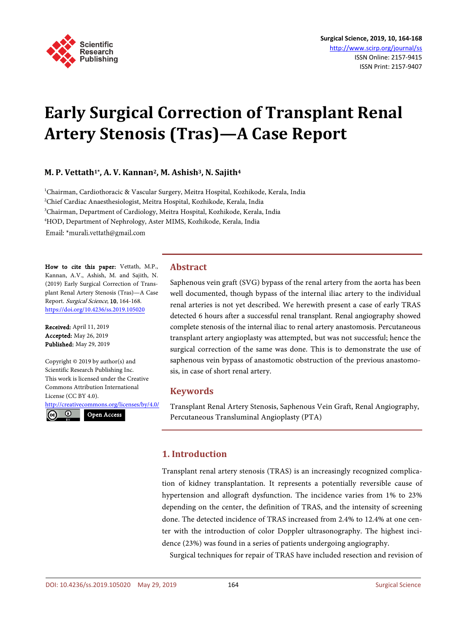

# **Early Surgical Correction of Transplant Renal Artery Stenosis (Tras)—A Case Report**

## **M. P. Vettath1\*, A. V. Kannan2, M. Ashish3, N. Sajith4**

<sup>1</sup>Chairman, Cardiothoracic & Vascular Surgery, Meitra Hospital, Kozhikode, Kerala, India 2 Chief Cardiac Anaesthesiologist, Meitra Hospital, Kozhikode, Kerala, India 3 Chairman, Department of Cardiology, Meitra Hospital, Kozhikode, Kerala, India 4 HOD, Department of Nephrology, Aster MIMS, Kozhikode, Kerala, India Email: \*murali.vettath@gmail.com

How to cite this paper: Vettath, M.P., Kannan, A.V., Ashish, M. and Sajith, N. (2019) Early Surgical Correction of Transplant Renal Artery Stenosis (Tras)—A Case Report. Surgical Science, 10, 164-168. <https://doi.org/10.4236/ss.2019.105020>

Received: April 11, 2019 Accepted: May 26, 2019 Published: May 29, 2019

Copyright © 2019 by author(s) and Scientific Research Publishing Inc. This work is licensed under the Creative Commons Attribution International License (CC BY 4.0).

<http://creativecommons.org/licenses/by/4.0/> Open Access

 $\odot$  $\epsilon$ 

**Abstract**

Saphenous vein graft (SVG) bypass of the renal artery from the aorta has been well documented, though bypass of the internal iliac artery to the individual renal arteries is not yet described. We herewith present a case of early TRAS detected 6 hours after a successful renal transplant. Renal angiography showed complete stenosis of the internal iliac to renal artery anastomosis. Percutaneous transplant artery angioplasty was attempted, but was not successful; hence the surgical correction of the same was done. This is to demonstrate the use of saphenous vein bypass of anastomotic obstruction of the previous anastomosis, in case of short renal artery.

## **Keywords**

Transplant Renal Artery Stenosis, Saphenous Vein Graft, Renal Angiography, Percutaneous Transluminal Angioplasty (PTA)

## **1. Introduction**

Transplant renal artery stenosis (TRAS) is an increasingly recognized complication of kidney transplantation. It represents a potentially reversible cause of hypertension and allograft dysfunction. The incidence varies from 1% to 23% depending on the center, the definition of TRAS, and the intensity of screening done. The detected incidence of TRAS increased from 2.4% to 12.4% at one center with the introduction of color Doppler ultrasonography. The highest incidence (23%) was found in a series of patients undergoing angiography.

Surgical techniques for repair of TRAS have included resection and revision of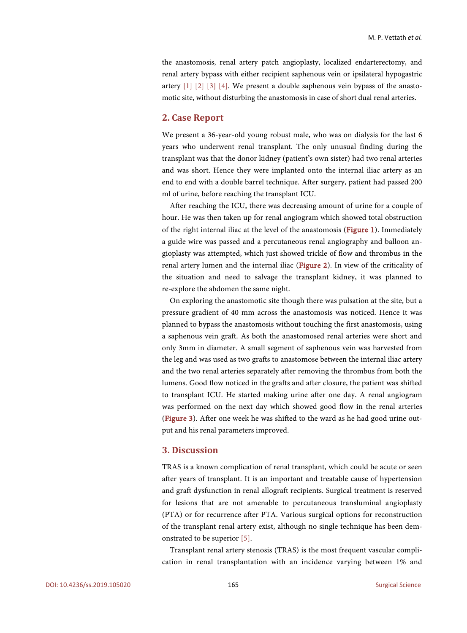the anastomosis, renal artery patch angioplasty, localized endarterectomy, and renal artery bypass with either recipient saphenous vein or ipsilateral hypogastric artery  $\begin{bmatrix} 1 \end{bmatrix}$   $\begin{bmatrix} 2 \end{bmatrix}$   $\begin{bmatrix} 3 \end{bmatrix}$   $\begin{bmatrix} 4 \end{bmatrix}$ . We present a double saphenous vein bypass of the anastomotic site, without disturbing the anastomosis in case of short dual renal arteries.

### **2. Case Report**

We present a 36-year-old young robust male, who was on dialysis for the last 6 years who underwent renal transplant. The only unusual finding during the transplant was that the donor kidney (patient's own sister) had two renal arteries and was short. Hence they were implanted onto the internal iliac artery as an end to end with a double barrel technique. After surgery, patient had passed 200 ml of urine, before reaching the transplant ICU.

After reaching the ICU, there was decreasing amount of urine for a couple of hour. He was then taken up for renal angiogram which showed total obstruction of the right internal iliac at the level of the anastomosis [\(Figure 1\)](#page-2-0). Immediately a guide wire was passed and a percutaneous renal angiography and balloon angioplasty was attempted, which just showed trickle of flow and thrombus in the renal artery lumen and the internal iliac [\(Figure 2\)](#page-2-1). In view of the criticality of the situation and need to salvage the transplant kidney, it was planned to re-explore the abdomen the same night.

On exploring the anastomotic site though there was pulsation at the site, but a pressure gradient of 40 mm across the anastomosis was noticed. Hence it was planned to bypass the anastomosis without touching the first anastomosis, using a saphenous vein graft. As both the anastomosed renal arteries were short and only 3mm in diameter. A small segment of saphenous vein was harvested from the leg and was used as two grafts to anastomose between the internal iliac artery and the two renal arteries separately after removing the thrombus from both the lumens. Good flow noticed in the grafts and after closure, the patient was shifted to transplant ICU. He started making urine after one day. A renal angiogram was performed on the next day which showed good flow in the renal arteries [\(Figure 3\)](#page-2-2). After one week he was shifted to the ward as he had good urine output and his renal parameters improved.

## **3. Discussion**

TRAS is a known complication of renal transplant, which could be acute or seen after years of transplant. It is an important and treatable cause of hypertension and graft dysfunction in renal allograft recipients. Surgical treatment is reserved for lesions that are not amenable to percutaneous transluminal angioplasty (PTA) or for recurrence after PTA. Various surgical options for reconstruction of the transplant renal artery exist, although no single technique has been demonstrated to be superior [\[](#page-3-4)5].

Transplant renal artery stenosis (TRAS) is the most frequent vascular complication in renal transplantation with an incidence varying between 1% and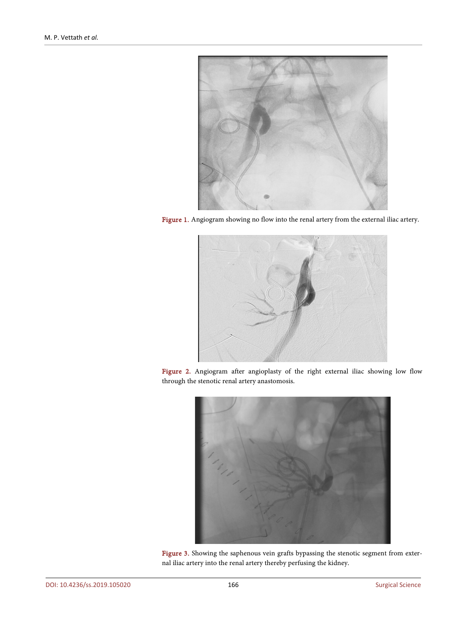<span id="page-2-0"></span>

Figure 1. Angiogram showing no flow into the renal artery from the external iliac artery.

<span id="page-2-1"></span>

Figure 2. Angiogram after angioplasty of the right external iliac showing low flow through the stenotic renal artery anastomosis.

<span id="page-2-2"></span>

Figure 3. Showing the saphenous vein grafts bypassing the stenotic segment from external iliac artery into the renal artery thereby perfusing the kidney.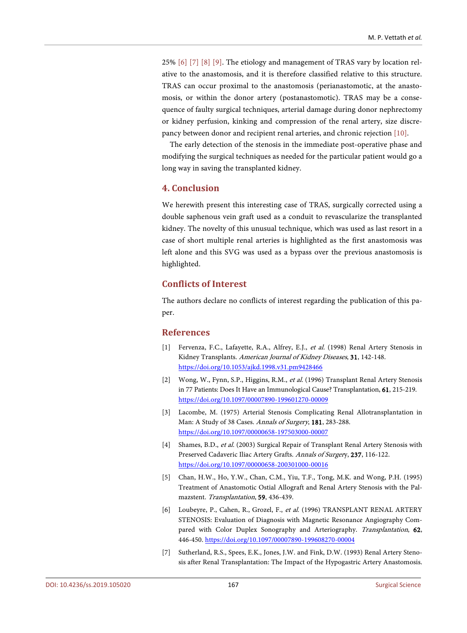25% [\[](#page-3-5)6] [\[](#page-3-6)7] [\[](#page-4-0)8] [\[](#page-4-1)9]. The etiology and management of TRAS vary by location relative to the anastomosis, and it is therefore classified relative to this structure. TRAS can occur proximal to the anastomosis (perianastomotic, at the anastomosis, or within the donor artery (postanastomotic). TRAS may be a consequence of faulty surgical techniques, arterial damage during donor nephrectomy or kidney perfusion, kinking and compression of the renal artery, size discrepancy between donor and recipient renal arteries, and chronic rejection [\[](#page-4-2)10].

The early detection of the stenosis in the immediate post-operative phase and modifying the surgical techniques as needed for the particular patient would go a long way in saving the transplanted kidney.

## **4. Conclusion**

We herewith present this interesting case of TRAS, surgically corrected using a double saphenous vein graft used as a conduit to revascularize the transplanted kidney. The novelty of this unusual technique, which was used as last resort in a case of short multiple renal arteries is highlighted as the first anastomosis was left alone and this SVG was used as a bypass over the previous anastomosis is highlighted.

## **Conflicts of Interest**

The authors declare no conflicts of interest regarding the publication of this paper.

#### **References**

- <span id="page-3-0"></span>[1] Fervenza, F.C., Lafayette, R.A., Alfrey, E.J., et al. (1998) Renal Artery Stenosis in Kidney Transplants. American Journal of Kidney Diseases, 31, 142-148. <https://doi.org/10.1053/ajkd.1998.v31.pm9428466>
- <span id="page-3-1"></span>[2] Wong, W., Fynn, S.P., Higgins, R.M., et al. (1996) Transplant Renal Artery Stenosis in 77 Patients: Does It Have an Immunological Cause? Transplantation, 61, 215-219. <https://doi.org/10.1097/00007890-199601270-00009>
- <span id="page-3-2"></span>[3] Lacombe, M. (1975) Arterial Stenosis Complicating Renal Allotransplantation in Man: A Study of 38 Cases. Annals of Surgery, 181, 283-288. <https://doi.org/10.1097/00000658-197503000-00007>
- <span id="page-3-3"></span>[4] Shames, B.D., et al. (2003) Surgical Repair of Transplant Renal Artery Stenosis with Preserved Cadaveric Iliac Artery Grafts. Annals of Surgery, 237, 116-122. <https://doi.org/10.1097/00000658-200301000-00016>
- <span id="page-3-4"></span>[5] Chan, H.W., Ho, Y.W., Chan, C.M., Yiu, T.F., Tong, M.K. and Wong, P.H. (1995) Treatment of Anastomotic Ostial Allograft and Renal Artery Stenosis with the Palmazstent. Transplantation, 59, 436-439.
- <span id="page-3-5"></span>[6] Loubeyre, P., Cahen, R., Grozel, F., et al. (1996) TRANSPLANT RENAL ARTERY STENOSIS: Evaluation of Diagnosis with Magnetic Resonance Angiography Compared with Color Duplex Sonography and Arteriography. Transplantation, 62, 446-450[. https://doi.org/10.1097/00007890-199608270-00004](https://doi.org/10.1097/00007890-199608270-00004)
- <span id="page-3-6"></span>[7] Sutherland, R.S., Spees, E.K., Jones, J.W. and Fink, D.W. (1993) Renal Artery Stenosis after Renal Transplantation: The Impact of the Hypogastric Artery Anastomosis.